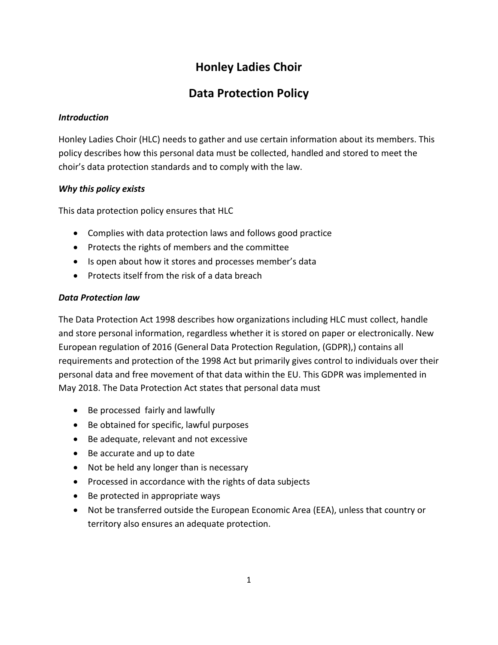# **Honley Ladies Choir**

# **Data Protection Policy**

# *Introduction*

Honley Ladies Choir (HLC) needs to gather and use certain information about its members. This policy describes how this personal data must be collected, handled and stored to meet the choir's data protection standards and to comply with the law.

## *Why this policy exists*

This data protection policy ensures that HLC

- Complies with data protection laws and follows good practice
- Protects the rights of members and the committee
- Is open about how it stores and processes member's data
- Protects itself from the risk of a data breach

## *Data Protection law*

The Data Protection Act 1998 describes how organizations including HLC must collect, handle and store personal information, regardless whether it is stored on paper or electronically. New European regulation of 2016 (General Data Protection Regulation, (GDPR),) contains all requirements and protection of the 1998 Act but primarily gives control to individuals over their personal data and free movement of that data within the EU. This GDPR was implemented in May 2018. The Data Protection Act states that personal data must

- Be processed fairly and lawfully
- Be obtained for specific, lawful purposes
- Be adequate, relevant and not excessive
- Be accurate and up to date
- Not be held any longer than is necessary
- Processed in accordance with the rights of data subjects
- Be protected in appropriate ways
- Not be transferred outside the European Economic Area (EEA), unless that country or territory also ensures an adequate protection.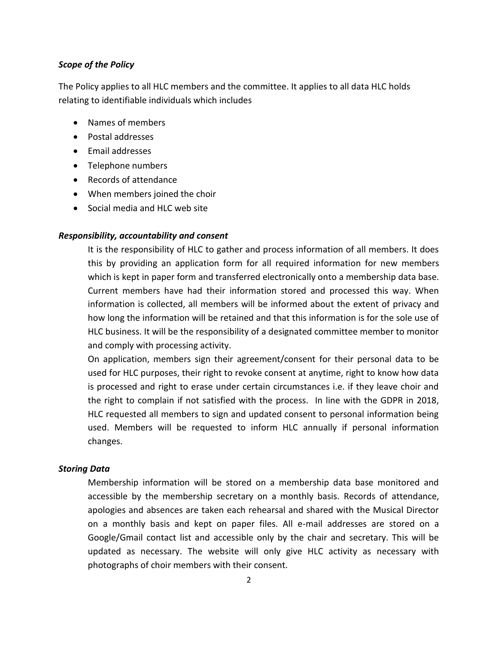#### *Scope of the Policy*

The Policy applies to all HLC members and the committee. It applies to all data HLC holds relating to identifiable individuals which includes

- Names of members
- Postal addresses
- Email addresses
- Telephone numbers
- Records of attendance
- When members joined the choir
- Social media and HLC web site

#### *Responsibility, accountability and consent*

It is the responsibility of HLC to gather and process information of all members. It does this by providing an application form for all required information for new members which is kept in paper form and transferred electronically onto a membership data base. Current members have had their information stored and processed this way. When information is collected, all members will be informed about the extent of privacy and how long the information will be retained and that this information is for the sole use of HLC business. It will be the responsibility of a designated committee member to monitor and comply with processing activity.

On application, members sign their agreement/consent for their personal data to be used for HLC purposes, their right to revoke consent at anytime, right to know how data is processed and right to erase under certain circumstances i.e. if they leave choir and the right to complain if not satisfied with the process. In line with the GDPR in 2018, HLC requested all members to sign and updated consent to personal information being used. Members will be requested to inform HLC annually if personal information changes.

#### *Storing Data*

Membership information will be stored on a membership data base monitored and accessible by the membership secretary on a monthly basis. Records of attendance, apologies and absences are taken each rehearsal and shared with the Musical Director on a monthly basis and kept on paper files. All e-mail addresses are stored on a Google/Gmail contact list and accessible only by the chair and secretary. This will be updated as necessary. The website will only give HLC activity as necessary with photographs of choir members with their consent.